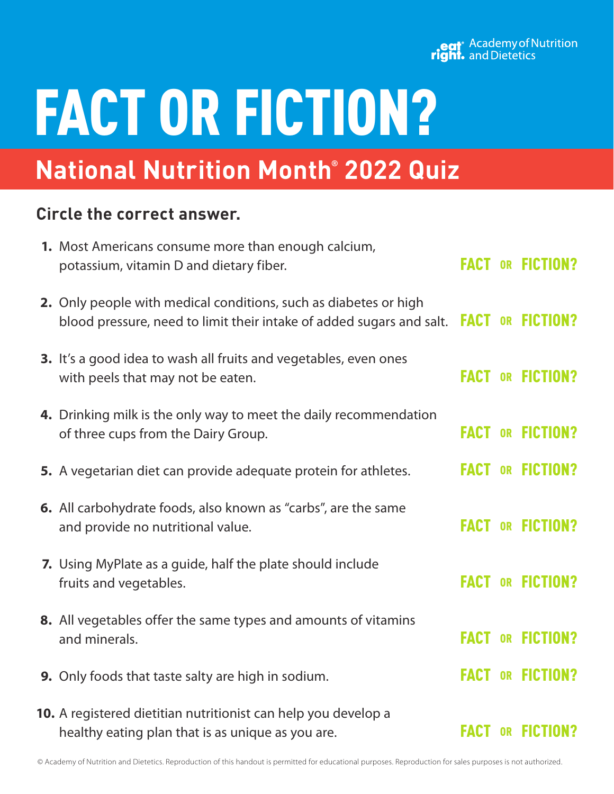### eat<sup>\*</sup> Academy of Nutrition<br> **right.** and Dietetics

# FACT OR FICTION?

## **National Nutrition Month® 2022 Quiz**

### **Circle the correct answer.**

| 1. Most Americans consume more than enough calcium,<br>potassium, vitamin D and dietary fiber.                                           |             |           | <b>FACT OR FICTION?</b> |
|------------------------------------------------------------------------------------------------------------------------------------------|-------------|-----------|-------------------------|
| 2. Only people with medical conditions, such as diabetes or high<br>blood pressure, need to limit their intake of added sugars and salt. |             |           | <b>FACT OR FICTION?</b> |
| 3. It's a good idea to wash all fruits and vegetables, even ones<br>with peels that may not be eaten.                                    | <b>FACT</b> |           | OR FICTION?             |
| 4. Drinking milk is the only way to meet the daily recommendation<br>of three cups from the Dairy Group.                                 | <b>FACT</b> |           | <b>OR FICTION?</b>      |
| 5. A vegetarian diet can provide adequate protein for athletes.                                                                          |             |           | <b>FACT OR FICTION?</b> |
| <b>6.</b> All carbohydrate foods, also known as "carbs", are the same<br>and provide no nutritional value.                               | <b>FACT</b> | <b>OR</b> | <b>FICTION?</b>         |
| 7. Using MyPlate as a guide, half the plate should include<br>fruits and vegetables.                                                     | <b>FACT</b> |           | OR FICTION?             |
| 8. All vegetables offer the same types and amounts of vitamins<br>and minerals.                                                          |             |           | <b>FACT OR FICTION?</b> |
| 9. Only foods that taste salty are high in sodium.                                                                                       | <b>FACT</b> |           | <b>OR FICTION?</b>      |
| 10. A registered dietitian nutritionist can help you develop a<br>healthy eating plan that is as unique as you are.                      | <b>FACT</b> | <b>OR</b> | <b>FICTION?</b>         |

© Academy of Nutrition and Dietetics. Reproduction of this handout is permitted for educational purposes. Reproduction for sales purposes is not authorized.